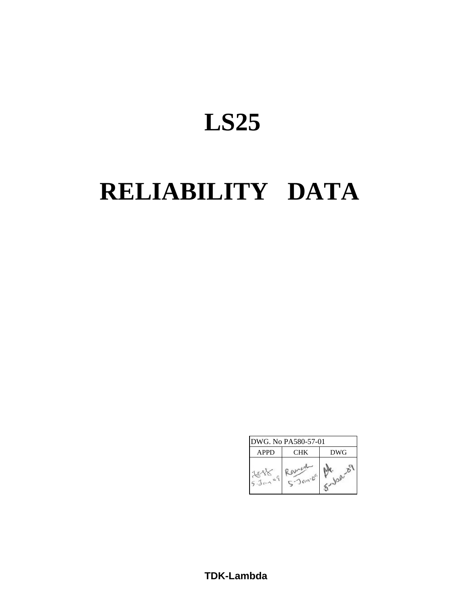# **LS25**

# **RELIABILITY DATA**

| <b>APPD</b> | CHK | <b>DWG</b> |
|-------------|-----|------------|
|             |     |            |

**TDK-Lambda**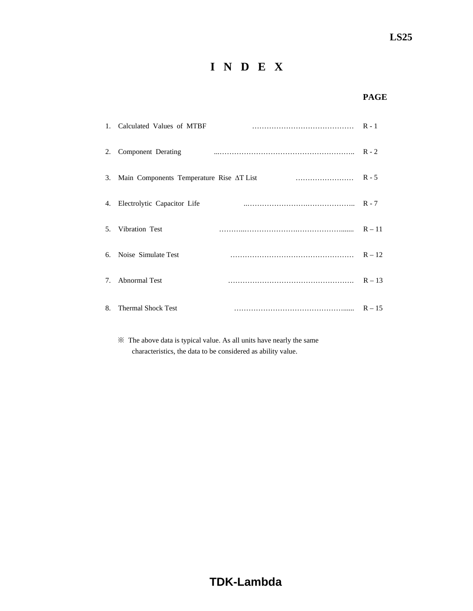# **I N D E X**

# **PAGE**

|    | 1. Calculated Values of MTBF                |          |
|----|---------------------------------------------|----------|
| 2. | Component Derating                          | $R - 2$  |
|    | 3. Main Components Temperature Rise AT List | $R - 5$  |
|    | 4. Electrolytic Capacitor Life              | $R - 7$  |
|    | 5. Vibration Test                           | $R - 11$ |
| 6. | Noise Simulate Test                         | $R - 12$ |
| 7. | <b>Abnormal Test</b>                        | $R - 13$ |
| 8. | <b>Thermal Shock Test</b>                   | $R - 15$ |

 ※ The above data is typical value. As all units have nearly the same characteristics, the data to be considered as ability value.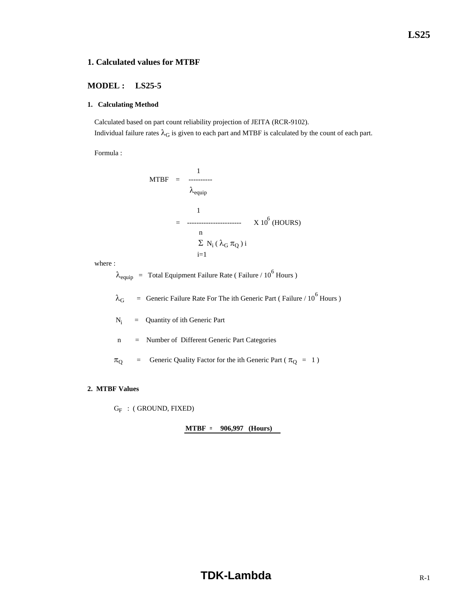**LS25**

# **1. Calculated values for MTBF**

## **MODEL : LS25-5**

#### **1. Calculating Method**

 Calculated based on part count reliability projection of JEITA (RCR-9102). Individual failure rates  $\lambda_G$  is given to each part and MTBF is calculated by the count of each part.

Formula :

$$
MTBF = \frac{1}{\lambda_{\text{equip}}}
$$
  
= 
$$
\frac{1}{\lambda_{\text{equip}}}
$$
 X 10<sup>6</sup> (HOLRS)  

$$
\frac{n}{\sum N_i (\lambda_G \pi_Q) i}
$$

where :

 $\lambda_{\text{equip}}$  = Total Equipment Failure Rate (Failure / 10<sup>6</sup> Hours)

 $\lambda_G$  = Generic Failure Rate For The ith Generic Part (Failure / 10<sup>6</sup> Hours)

 $N_i$ = Quantity of ith Generic Part

n = Number of Different Generic Part Categories

 $\pi_{\text{Q}}$  = Generic Quality Factor for the ith Generic Part ( $\pi_{\text{Q}}$  = 1)

#### **2. MTBF Values**

 $G_F$  : (GROUND, FIXED)

**MTBF = 906,997 (Hours)**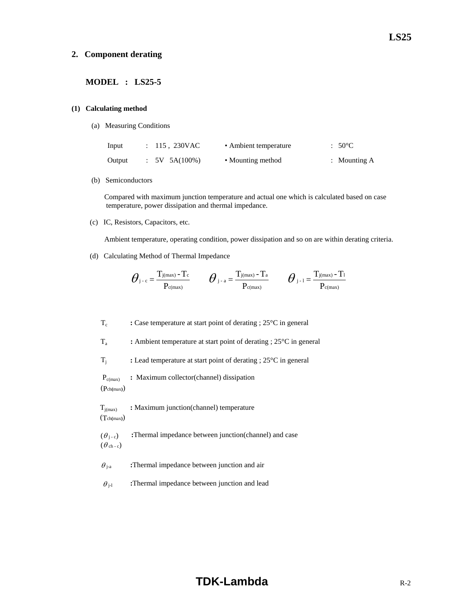#### **2. Component derating**

### **MODEL : LS25-5**

#### **(1) Calculating method**

(a) Measuring Conditions

| Input  | $: 115, 230$ VAC | • Ambient temperature | $:50^{\circ}$ C |
|--------|------------------|-----------------------|-----------------|
| Output | $5V$ 5A(100%)    | • Mounting method     | : Mounting $A$  |

(b) Semiconductors

 Compared with maximum junction temperature and actual one which is calculated based on case temperature, power dissipation and thermal impedance.

(c) IC, Resistors, Capacitors, etc.

Ambient temperature, operating condition, power dissipation and so on are within derating criteria.

(d) Calculating Method of Thermal Impedance

$$
\boldsymbol{\theta}_{\text{j-c}}\!=\!\frac{T_{\text{j}(max)}-T_{\text{c}}}{P_{\text{c}(max)}}\qquad \boldsymbol{\theta}_{\text{j-a}}\!=\!\frac{T_{\text{j}(max)}-T_{\text{a}}}{P_{\text{c}(max)}}\qquad \boldsymbol{\theta}_{\text{j-1}}\!=\!\frac{T_{\text{j}(max)}-T_{\text{1}}}{P_{\text{c}(max)}}
$$

Tc **:** Case temperature at start point of derating ; 25°C in general

Ta **:** Ambient temperature at start point of derating ; 25°C in general

Tj **:** Lead temperature at start point of derating ; 25°C in general

Pc(max) **:** Maximum collector(channel) dissipation

(Pch**(**max**)**)

**T**<sub>j(max)</sub> : Maximum junction(channel) temperature (Tch**(**max**)**)

 $(\theta_{i-c})$  **:**Thermal impedance between junction(channel) and case  $(\theta_{ch-c})$ 

 $\theta_{j-a}$  **:**Thermal impedance between junction and air

 $\theta_{j-l}$  **:**Thermal impedance between junction and lead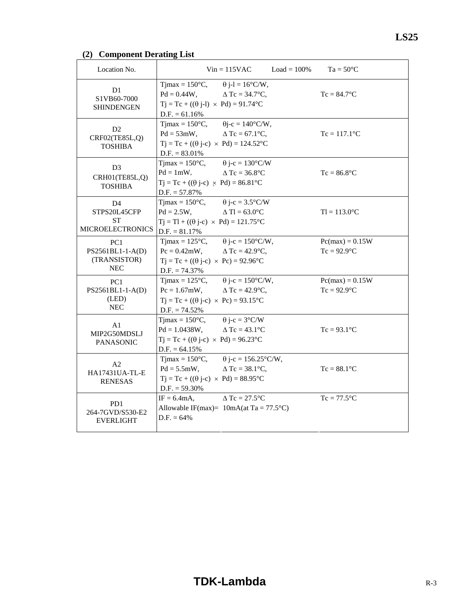# **(2) Component Derating List**

| Location No.                                                    |                                                                                                                                                                                            | $Vin = 115VAC$ $Load = 100\%$                    | $Ta = 50^{\circ}C$                  |
|-----------------------------------------------------------------|--------------------------------------------------------------------------------------------------------------------------------------------------------------------------------------------|--------------------------------------------------|-------------------------------------|
| D1<br>S1VB60-7000<br><b>SHINDENGEN</b>                          | $T$ jmax = 150 $\degree$ C,<br>$Pd = 0.44W$ , $\Delta Tc = 34.7^{\circ}C$ ,<br>$Tj = Tc + ((\theta j-l) \times Pd) = 91.74$ °C<br>$D.F. = 61.16%$                                          | $\theta$ j-l = 16°C/W,                           | $Tc = 84.7$ °C                      |
| D2<br>CRF02(TE85L,Q)<br><b>TOSHIBA</b>                          | $T$ jmax = 150 $\degree$ C,<br>$Pd = 53mW,$<br>$Tj = Tc + ((\theta j - c) \times Pd) = 124.52^{\circ}C$<br>$D.F. = 83.01\%$                                                                | $\theta$ j-c = 140°C/W,<br>$\Delta$ Tc = 67.1°C, | $Tc = 117.1$ <sup>o</sup> C         |
| D <sub>3</sub><br>CRH01(TE85L,Q)<br><b>TOSHIBA</b>              | Timax = $150^{\circ}$ C, $\theta$ j-c = $130^{\circ}$ C/W<br>$Pd = 1mW,$<br>$Tj = Tc + ((\theta j-c) \times Pd) = 86.81^{\circ}C$<br>$D.F. = 57.87\%$                                      | $\triangle$ Tc = 36.8°C                          | $Tc = 86.8$ °C                      |
| D <sub>4</sub><br>STPS20L45CFP<br>ST<br><b>MICROELECTRONICS</b> | Timax = $150^{\circ}$ C, $\theta$ j-c = $3.5^{\circ}$ C/W<br>$Pd = 2.5W,$<br>$Tj = Tl + ((\theta j - c) \times Pd) = 121.75^{\circ}C$<br>$D.F. = 81.17%$                                   | $\Delta$ Tl = 63.0°C                             | $TI = 113.0$ °C                     |
| PC <sub>1</sub><br>PS2561BL1-1-A(D)<br>(TRANSISTOR)<br>NEC      | Tjmax = $125^{\circ}$ C, $\theta$ j-c = $150^{\circ}$ C/W,<br>$Pc = 0.42$ mW, $\Delta Tc = 42.9$ °C,<br>$Tj = Tc + ((\theta j - c) \times Pc) = 92.96^{\circ}C$<br>$D.F. = 74.37\%$        |                                                  | $Pc(max) = 0.15W$<br>$Tc = 92.9$ °C |
| PC <sub>1</sub><br>PS2561BL1-1-A(D)<br>(LED)<br><b>NEC</b>      | Tjmax = $125^{\circ}$ C, $\theta$ j-c = $150^{\circ}$ C/W,<br>$Pc = 1.67mW,$ $\Delta Tc = 42.9^{\circ}C,$<br>$Tj = Tc + ((\theta j - c) \times Pc) = 93.15^{\circ}C$<br>$D.F. = 74.52\%$   |                                                  | $Pc(max) = 0.15W$<br>$Tc = 92.9$ °C |
| A <sub>1</sub><br>MIP2G50MDSLJ<br><b>PANASONIC</b>              | Tjmax = $150^{\circ}$ C, $\theta$ j-c = $3^{\circ}$ C/W<br>$Pd = 1.0438W,$<br>$Tj = Tc + ((\theta j - c) \times Pd) = 96.23^{\circ}C$<br>$D.F. = 64.15\%$                                  | $\triangle$ Tc = 43.1 $\degree$ C                | $Tc = 93.1$ °C                      |
| A2<br>HA17431UA-TL-E<br><b>RENESAS</b>                          | Tjmax = $150^{\circ}$ C, $\theta$ j-c = $156.25^{\circ}$ C/W,<br>$Pd = 5.5mW,$ $\Delta Tc = 38.1^{\circ}C,$<br>$Tj = Tc + ((\theta j - c) \times Pd) = 88.95^{\circ}C$<br>$D.F. = 59.30\%$ |                                                  | $Tc = 88.1$ °C                      |
| PD <sub>1</sub><br>264-7GVD/S530-E2<br><b>EVERLIGHT</b>         | $IF = 6.4mA$ ,<br>Allowable IF(max)= $10mA(at Ta = 77.5°C)$<br>$D.F. = 64\%$                                                                                                               | $\triangle$ Tc = 27.5 $^{\circ}$ C               | $Tc = 77.5$ °C                      |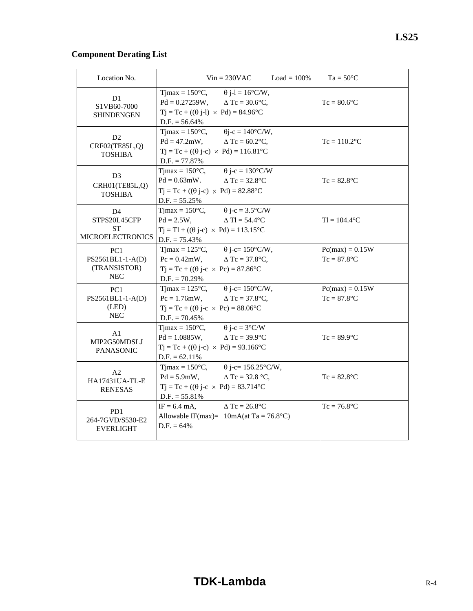# **Component Derating List**

| Location No.                                                      | $Vin = 230VAC$<br>$Load = 100\%$                                                                                                                                                                             | $Ta = 50^{\circ}C$                  |
|-------------------------------------------------------------------|--------------------------------------------------------------------------------------------------------------------------------------------------------------------------------------------------------------|-------------------------------------|
| D <sub>1</sub><br>S1VB60-7000<br><b>SHINDENGEN</b>                | Tjmax = $150^{\circ}$ C, $\qquad \theta$ j-l = $16^{\circ}$ C/W,<br>$Pd = 0.27259W$ , $\Delta Tc = 30.6^{\circ}C$ ,<br>$Tj = Tc + ((\theta j - 1) \times Pd) = 84.96^{\circ}C$<br>$D.F. = 56.64\%$           | $Tc = 80.6$ °C                      |
| D2<br>CRF02(TE85L,Q)<br><b>TOSHIBA</b>                            | Tjmax = $150^{\circ}$ C, $\theta$ j-c = $140^{\circ}$ C/W,<br>$Pd = 47.2 \text{mW}, \qquad \Delta Tc = 60.2 \text{°C},$<br>$Tj = Tc + ((\theta j - c) \times Pd) = 116.81^{\circ}C$<br>$D.F. = 77.87\%$      | $Tc = 110.2$ <sup>o</sup> C         |
| D <sub>3</sub><br>CRH01(TE85L,Q)<br><b>TOSHIBA</b>                | Timax = $150^{\circ}$ C, $\theta$ j-c = $130^{\circ}$ C/W<br>$Pd = 0.63 \text{mW}, \qquad \Delta \text{Tc} = 32.8^{\circ} \text{C}$<br>$Tj = Tc + ((\theta j - c) \times Pd) = 82.88$ °C<br>$D.F. = 55.25\%$ | $Tc = 82.8$ °C                      |
| D <sub>4</sub><br>STPS20L45CFP<br>ST<br><b>MICROELECTRONICS</b>   | Tjmax = $150^{\circ}$ C, $\theta$ j-c = $3.5^{\circ}$ C/W<br>$Pd = 2.5W$ ,<br>$\Delta$ Tl = 54.4 $\degree$ C<br>$Tj = Tl + ((\theta j-c) \times Pd) = 113.15^{\circ}C$<br>$D.F. = 75.43\%$                   | $TI = 104.4$ <sup>o</sup> C         |
| PC <sub>1</sub><br>PS2561BL1-1-A(D)<br>(TRANSISTOR)<br><b>NEC</b> | Tjmax = $125^{\circ}$ C, $\theta$ j-c= $150^{\circ}$ C/W,<br>$Pc = 0.42$ mW, $\Delta Tc = 37.8$ °C,<br>$Tj = Tc + ((\theta j - c \times Pc) = 87.86^{\circ}C$<br>$D.F. = 70.29\%$                            | $Pc(max) = 0.15W$<br>$Tc = 87.8$ °C |
| PC <sub>1</sub><br>PS2561BL1-1-A(D)<br>(LED)<br>${\rm NEC}$       | Tjmax = $125^{\circ}$ C, $\theta$ j-c= $150^{\circ}$ C/W,<br>$Pc = 1.76$ mW, $\Delta Tc = 37.8$ °C,<br>$Tj = Tc + ((\theta j - c \times Pc) = 88.06^{\circ}C$<br>$D.F. = 70.45\%$                            | $Pc(max) = 0.15W$<br>$Tc = 87.8$ °C |
| A1<br>MIP2G50MDSLJ<br><b>PANASONIC</b>                            | Timax = $150^{\circ}$ C, $\theta$ j-c = $3^{\circ}$ C/W<br>$Pd = 1.0885W,$ $\Delta Tc = 39.9^{\circ}C$<br>$Tj = Tc + ((\theta j - c) \times Pd) = 93.166^{\circ}C$<br>$D.F. = 62.11\%$                       | $Tc = 89.9$ °C                      |
| A <sub>2</sub><br>HA17431UA-TL-E<br><b>RENESAS</b>                | Tjmax = $150^{\circ}$ C, $\theta$ j-c= $156.25^{\circ}$ C/W,<br>$Pd = 5.9mW,$ $\Delta Tc = 32.8 °C,$<br>$Tj = Tc + ((\theta j - c \times Pd) = 83.714$ °C<br>$D.F. = 55.81\%$                                | $Tc = 82.8$ °C                      |
| PD1<br>264-7GVD/S530-E2<br><b>EVERLIGHT</b>                       | $\triangle$ Tc = 26.8 $^{\circ}$ C<br>$IF = 6.4$ mA,<br>Allowable IF(max)= $10mA(at Ta = 76.8°C)$<br>$D.F. = 64\%$                                                                                           | $Tc = 76.8$ °C                      |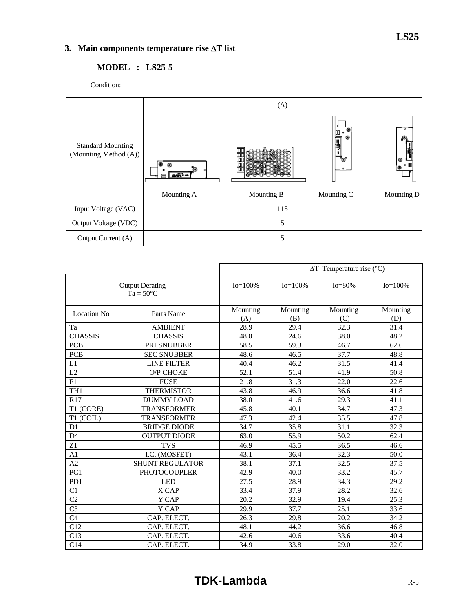# **3. Main components temperature rise** Δ**T list**

# **MODEL : LS25-5**

Condition:



|                                              |                        |                   | $\Delta T$ Temperature rise (°C) |                 |                 |  |  |  |
|----------------------------------------------|------------------------|-------------------|----------------------------------|-----------------|-----------------|--|--|--|
| <b>Output Derating</b><br>$Ta = 50^{\circ}C$ |                        | $Io = 100\%$      | $Io = 100\%$                     | $Io = 80\%$     | $Io = 100\%$    |  |  |  |
| Location No                                  | Parts Name             | Mounting<br>(A)   | Mounting<br>(B)                  | Mounting<br>(C) | Mounting<br>(D) |  |  |  |
| Ta                                           | <b>AMBIENT</b>         | 28.9              | 29.4                             | 32.3            | 31.4            |  |  |  |
| <b>CHASSIS</b>                               | <b>CHASSIS</b>         | 48.0              | 24.6                             | 38.0            | 48.2            |  |  |  |
| <b>PCB</b>                                   | PRI SNUBBER            | 58.5              | 59.3                             | 46.7            | 62.6            |  |  |  |
| <b>PCB</b>                                   | <b>SEC SNUBBER</b>     | 48.6              | 46.5                             | 37.7            | 48.8            |  |  |  |
| L1                                           | <b>LINE FILTER</b>     | 40.4              | 46.2                             | 31.5            | 41.4            |  |  |  |
| $\overline{L2}$                              | O/P CHOKE              | $\overline{52.1}$ | 51.4                             | 41.9            | 50.8            |  |  |  |
| F1                                           | <b>FUSE</b>            | 21.8              | 31.3                             | 22.0            | 22.6            |  |  |  |
| TH <sub>1</sub>                              | <b>THERMISTOR</b>      | 43.8              | 46.9                             | 36.6            | 41.8            |  |  |  |
| R17                                          | <b>DUMMY LOAD</b>      | 38.0              | 41.6                             | 29.3            | 41.1            |  |  |  |
| T1 (CORE)                                    | <b>TRANSFORMER</b>     | 45.8              | 40.1                             | 34.7            | 47.3            |  |  |  |
| T1 (COIL)                                    | <b>TRANSFORMER</b>     | $\overline{47.3}$ | 42.4                             | 35.5            | 47.8            |  |  |  |
| D1                                           | <b>BRIDGE DIODE</b>    | 34.7              | 35.8                             | 31.1            | 32.3            |  |  |  |
| D <sub>4</sub>                               | <b>OUTPUT DIODE</b>    | 63.0              | 55.9                             | 50.2            | 62.4            |  |  |  |
| Z1                                           | <b>TVS</b>             | 46.9              | 45.5                             | 36.5            | 46.6            |  |  |  |
| A1                                           | I.C. (MOSFET)          | 43.1              | 36.4                             | 32.3            | 50.0            |  |  |  |
| A2                                           | <b>SHUNT REGULATOR</b> | 38.1              | 37.1                             | 32.5            | 37.5            |  |  |  |
| PC1                                          | <b>PHOTOCOUPLER</b>    | 42.9              | 40.0                             | 33.2            | 45.7            |  |  |  |
| PD1                                          | <b>LED</b>             | 27.5              | 28.9                             | 34.3            | 29.2            |  |  |  |
| C1                                           | X CAP                  | 33.4              | 37.9                             | 28.2            | 32.6            |  |  |  |
| $\overline{C2}$                              | Y CAP                  | 20.2              | 32.9                             | 19.4            | 25.3            |  |  |  |
| C <sub>3</sub>                               | Y CAP                  | 29.9              | 37.7                             | 25.1            | 33.6            |  |  |  |
| $\overline{C4}$                              | CAP. ELECT.            | 26.3              | 29.8                             | 20.2            | 34.2            |  |  |  |
| C12                                          | CAP. ELECT.            | 48.1              | 44.2                             | 36.6            | 46.8            |  |  |  |
| C13                                          | CAP. ELECT.            | 42.6              | 40.6                             | 33.6            | 40.4            |  |  |  |
| C14                                          | CAP. ELECT.            | 34.9              | 33.8                             | 29.0            | 32.0            |  |  |  |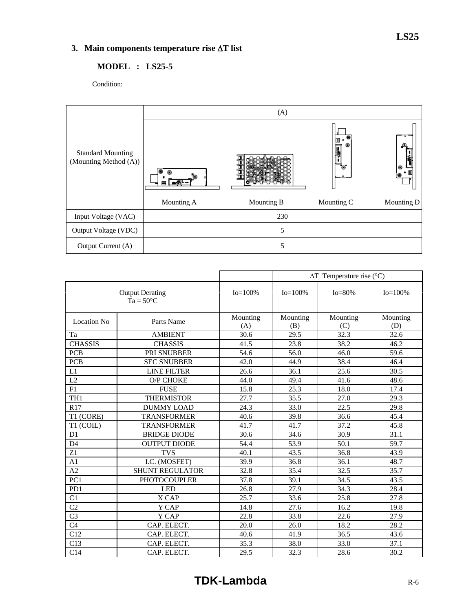# **3. Main components temperature rise** Δ**T list**

# **MODEL : LS25-5**

Condition:



|                                              |                               | $\Delta T$ Temperature rise (°C) |                 |                 |                 |  |  |  |
|----------------------------------------------|-------------------------------|----------------------------------|-----------------|-----------------|-----------------|--|--|--|
| <b>Output Derating</b><br>$Ta = 50^{\circ}C$ |                               | $Io=100%$                        | $Io = 100\%$    | $Io = 80\%$     | $Io = 100\%$    |  |  |  |
| <b>Location No</b>                           | Mounting<br>Parts Name<br>(A) |                                  | Mounting<br>(B) | Mounting<br>(C) | Mounting<br>(D) |  |  |  |
| Ta                                           | <b>AMBIENT</b>                | 30.6                             | 29.5            | 32.3            | 32.6            |  |  |  |
| <b>CHASSIS</b>                               | <b>CHASSIS</b>                | 41.5                             | 23.8            | 38.2            | 46.2            |  |  |  |
| <b>PCB</b>                                   | PRI SNUBBER                   | 54.6                             | 56.0            | 46.0            | 59.6            |  |  |  |
| <b>PCB</b>                                   | <b>SEC SNUBBER</b>            | 42.0                             | 44.9            | 38.4            | 46.4            |  |  |  |
| L1                                           | LINE FILTER                   | 26.6                             | 36.1            | 25.6            | 30.5            |  |  |  |
| L2                                           | O/P CHOKE                     | 44.0                             | 49.4            | 41.6            | 48.6            |  |  |  |
| F1                                           | <b>FUSE</b>                   | 15.8                             | 25.3            | 18.0            | 17.4            |  |  |  |
| TH <sub>1</sub>                              | <b>THERMISTOR</b>             | 27.7                             | 35.5            | 27.0            | 29.3            |  |  |  |
| R17                                          | <b>DUMMY LOAD</b>             | 24.3                             | 33.0            | 22.5            | 29.8            |  |  |  |
| T1 (CORE)                                    | <b>TRANSFORMER</b>            | 40.6                             | 39.8            | 36.6            | 45.4            |  |  |  |
| T1 (COIL)                                    | <b>TRANSFORMER</b>            | 41.7                             | 41.7            | 37.2            | 45.8            |  |  |  |
| D <sub>1</sub>                               | <b>BRIDGE DIODE</b>           | 30.6                             | 34.6            | 30.9            | 31.1            |  |  |  |
| D <sub>4</sub>                               | <b>OUTPUT DIODE</b>           | 54.4                             | 53.9            | 50.1            | 59.7            |  |  |  |
| Z1                                           | <b>TVS</b>                    | 40.1                             | 43.5            | 36.8            | 43.9            |  |  |  |
| A <sub>1</sub>                               | I.C. (MOSFET)                 | 39.9                             | 36.8            | 36.1            | 48.7            |  |  |  |
| A2                                           | <b>SHUNT REGULATOR</b>        | 32.8                             | 35.4            | 32.5            | 35.7            |  |  |  |
| PC1                                          | <b>PHOTOCOUPLER</b>           | 37.8                             | 39.1            | 34.5            | 43.5            |  |  |  |
| PD1                                          | <b>LED</b>                    | 26.8                             | 27.9            | 34.3            | 28.4            |  |  |  |
| C <sub>1</sub>                               | X CAP                         | 25.7                             | 33.6            | 25.8            | 27.8            |  |  |  |
| $\overline{C2}$                              | Y CAP                         | 14.8                             | 27.6            | 16.2            | 19.8            |  |  |  |
| C <sub>3</sub>                               | Y CAP                         | 22.8                             | 33.8            | 22.6            | 27.9            |  |  |  |
| C <sub>4</sub>                               | CAP. ELECT.                   | 20.0                             | 26.0            | 18.2            | 28.2            |  |  |  |
| C12                                          | CAP. ELECT.                   | 40.6                             | 41.9            | 36.5            | 43.6            |  |  |  |
| C13                                          | CAP. ELECT.                   | 35.3                             | 38.0            | 33.0            | 37.1            |  |  |  |
| C14                                          | CAP. ELECT.                   | 29.5                             | 32.3            | 28.6            | 30.2            |  |  |  |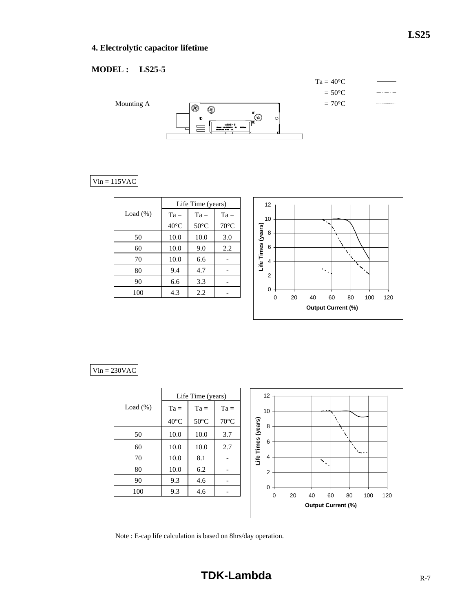# **4. Electrolytic capacitor lifetime**

# **MODEL : LS25-5**



# $Vin = 115VAC$

|             | Life Time (years) |                |                |  |  |  |  |
|-------------|-------------------|----------------|----------------|--|--|--|--|
| Load $(\%)$ | $Ta =$            | $Ta =$         | $Ta =$         |  |  |  |  |
|             | $40^{\circ}$ C    | $50^{\circ}$ C | $70^{\circ}$ C |  |  |  |  |
| 50          | 10.0              | 10.0           | 3.0            |  |  |  |  |
| 60          | 10.0              | 9.0            | 2.2            |  |  |  |  |
| 70          | 10.0              | 6.6            |                |  |  |  |  |
| 80          | 9.4               | 4.7            |                |  |  |  |  |
| 90          | 6.6               | 3.3            |                |  |  |  |  |
| 100         | 4.3               | 2.2            |                |  |  |  |  |



|             |                | Life Time (years) |                | 12                                                               |
|-------------|----------------|-------------------|----------------|------------------------------------------------------------------|
| Load $(\%)$ | $Ta =$         | $Ta =$            | $Ta =$         | 10                                                               |
|             | $40^{\circ}$ C | $50^{\circ}$ C    | $70^{\circ}$ C | 8                                                                |
| 50          | 10.0           | 10.0              | 3.7            | Life Times (years)                                               |
| 60          | 10.0           | 10.0              | 2.7            | 6                                                                |
| 70          | 10.0           | 8.1               |                | $\overline{4}$<br>$\mathcal{N}_{\mathcal{N}}$                    |
| 80          | 10.0           | 6.2               | -              | $\overline{2}$                                                   |
| 90          | 9.3            | 4.6               |                |                                                                  |
| 100         | 9.3            | 4.6               |                | $\mathbf 0$<br>20<br>40<br>60<br>80<br>$\mathbf 0$<br>100<br>120 |
|             |                |                   |                | <b>Output Current (%)</b>                                        |

Note : E-cap life calculation is based on 8hrs/day operation.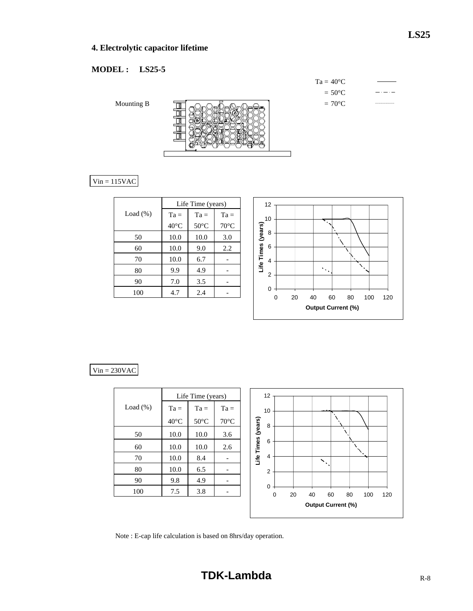# **MODEL : LS25-5**

|            | $Ta = 40^{\circ}C$ |  |
|------------|--------------------|--|
|            | $= 50^{\circ}C$    |  |
| Mounting B | $=70^{\circ}C$     |  |

# $Vin = 115VAC$

|             | Life Time (years) |                |                |  |  |  |  |
|-------------|-------------------|----------------|----------------|--|--|--|--|
| Load $(\%)$ | $Ta =$            | $Ta =$         | $Ta =$         |  |  |  |  |
|             | $40^{\circ}$ C    | $50^{\circ}$ C | $70^{\circ}$ C |  |  |  |  |
| 50          | 10.0              | 10.0           | 3.0            |  |  |  |  |
| 60          | 10.0              | 9.0            | 2.2            |  |  |  |  |
| 70          | 10.0              | 6.7            |                |  |  |  |  |
| 80          | 9.9               | 4.9            |                |  |  |  |  |
| 90          | 7.0               | 3.5            |                |  |  |  |  |
| 100         | 4.7               | 2.4            |                |  |  |  |  |



|             |                | Life Time (years) |                | 12                 |   |    |                           |           |    |     |     |
|-------------|----------------|-------------------|----------------|--------------------|---|----|---------------------------|-----------|----|-----|-----|
| Load $(\%)$ | $Ta =$         | $Ta =$            | $Ta =$         | 10                 |   |    |                           |           |    |     |     |
|             | $40^{\circ}$ C | $50^{\circ}$ C    | $70^{\circ}$ C | 8                  |   |    |                           |           |    |     |     |
| 50          | 10.0           | 10.0              | 3.6            | Life Times (years) |   |    |                           | $\lambda$ |    |     |     |
| 60          | 10.0           | 10.0              | 2.6            | 6                  |   |    |                           |           |    |     |     |
| 70          | 10.0           | 8.4               |                | $\overline{4}$     |   |    | $\mathbf{N}$<br>$\bullet$ |           |    |     |     |
| 80          | 10.0           | 6.5               |                | $\overline{2}$     |   |    |                           |           |    |     |     |
| 90          | 9.8            | 4.9               |                |                    |   |    |                           |           |    |     |     |
| 100         | 7.5            | 3.8               | -              | $\mathbf 0$        | 0 | 20 | 40                        | 60        | 80 | 100 | 120 |
|             |                |                   |                |                    |   |    | <b>Output Current (%)</b> |           |    |     |     |
|             |                |                   |                |                    |   |    |                           |           |    |     |     |

Note : E-cap life calculation is based on 8hrs/day operation.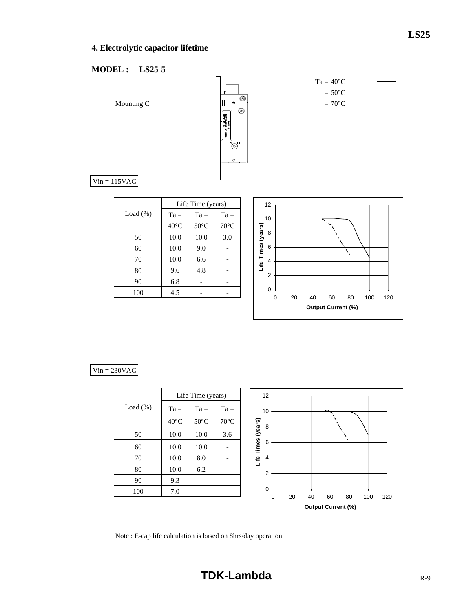# **4. Electrolytic capacitor lifetime**

# **MODEL : LS25-5**



| $=40^{\circ}$ C  |  |
|------------------|--|
| $= 50^{\circ}$ C |  |
| $=70^{\circ}$ C  |  |
|                  |  |

 $Vin = 115VAC$ 

|             | Life Time (years) |                |                |  |  |  |  |  |  |  |  |
|-------------|-------------------|----------------|----------------|--|--|--|--|--|--|--|--|
| Load $(\%)$ | $Ta =$            | $Ta =$         | $Ta =$         |  |  |  |  |  |  |  |  |
|             | $40^{\circ}$ C    | $50^{\circ}$ C | $70^{\circ}$ C |  |  |  |  |  |  |  |  |
| 50          | 10.0              | 10.0           | 3.0            |  |  |  |  |  |  |  |  |
| 60          | 10.0              | 9.0            |                |  |  |  |  |  |  |  |  |
| 70          | 10.0              | 6.6            |                |  |  |  |  |  |  |  |  |
| 80          | 9.6               | 4.8            |                |  |  |  |  |  |  |  |  |
| 90          | 6.8               |                |                |  |  |  |  |  |  |  |  |
| 100         | 4.5               |                |                |  |  |  |  |  |  |  |  |



Ta

|             |                | Life Time (years) |                |            | 12             |    |    |                           |    |     |     |
|-------------|----------------|-------------------|----------------|------------|----------------|----|----|---------------------------|----|-----|-----|
| Load $(\%)$ | $Ta =$         | $Ta =$            | $Ta =$         |            | 10             |    |    |                           |    |     |     |
|             | $40^{\circ}$ C | $50^{\circ}$ C    | $70^{\circ}$ C |            | 8              |    |    |                           |    |     |     |
| 50          | 10.0           | 10.0              | 3.6            | (years)    |                |    |    |                           |    |     |     |
| 60          | 10.0           | 10.0              |                | Life Times | 6              |    |    |                           |    |     |     |
| 70          | 10.0           | 8.0               |                |            | 4              |    |    |                           |    |     |     |
| 80          | 10.0           | 6.2               |                |            | $\overline{2}$ |    |    |                           |    |     |     |
| 90          | 9.3            |                   |                |            |                |    |    |                           |    |     |     |
| 100         | 7.0            |                   |                |            | 0<br>0         | 20 | 40 | 60                        | 80 | 100 | 120 |
|             |                |                   |                |            |                |    |    | <b>Output Current (%)</b> |    |     |     |

Note : E-cap life calculation is based on 8hrs/day operation.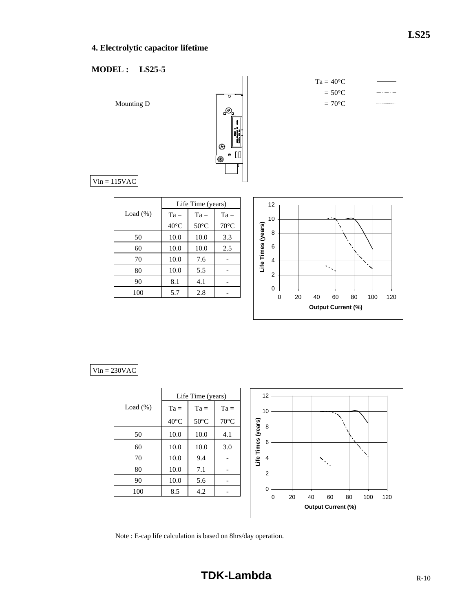# **4. Electrolytic capacitor lifetime**

# **MODEL : LS25-5**



$$
Ta = 40^{\circ}C
$$
  
= 50^{\circ}C  
= 70^{\circ}C

 $Vin = 115VAC$ 

| Life Time (years) |                |                |  |  |  |  |  |  |  |  |  |
|-------------------|----------------|----------------|--|--|--|--|--|--|--|--|--|
| $Ta =$            | $Ta =$         | $Ta =$         |  |  |  |  |  |  |  |  |  |
| $40^{\circ}$ C    | $50^{\circ}$ C | $70^{\circ}$ C |  |  |  |  |  |  |  |  |  |
| 10.0              | 10.0           | 3.3            |  |  |  |  |  |  |  |  |  |
| 10.0              | 10.0           | 2.5            |  |  |  |  |  |  |  |  |  |
| 10.0              | 7.6            |                |  |  |  |  |  |  |  |  |  |
| 10.0              | 5.5            |                |  |  |  |  |  |  |  |  |  |
| 8.1               | 4.1            |                |  |  |  |  |  |  |  |  |  |
| 5.7               | 2.8            |                |  |  |  |  |  |  |  |  |  |
|                   |                |                |  |  |  |  |  |  |  |  |  |



|             |                | Life Time (years) |                | 12                                                     |
|-------------|----------------|-------------------|----------------|--------------------------------------------------------|
| Load $(\%)$ | $Ta =$         | $Ta =$            | $Ta =$         | 10                                                     |
|             | $40^{\circ}$ C | $50^{\circ}$ C    | $70^{\circ}$ C | 8                                                      |
| 50          | 10.0           | 10.0              | 4.1            | (years)                                                |
| 60          | 10.0           | 10.0              | 3.0            | Life Times<br>6                                        |
| 70          | 10.0           | 9.4               |                | 4<br>٠                                                 |
| 80          | 10.0           | 7.1               |                | $\overline{2}$                                         |
| 90          | 10.0           | 5.6               |                |                                                        |
| 100         | 8.5            | 4.2               |                | 0<br>20<br>40<br>60<br>80<br>100<br>120<br>$\mathbf 0$ |
|             |                |                   |                | <b>Output Current (%)</b>                              |

Note : E-cap life calculation is based on 8hrs/day operation.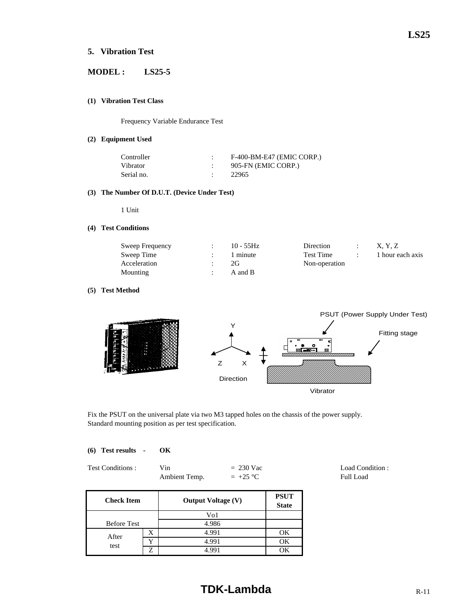# **5. Vibration Test**

# **MODEL : LS25-5**

#### **(1) Vibration Test Class**

Frequency Variable Endurance Test

#### **(2) Equipment Used**

| Controller | F-400-BM-E47 (EMIC CORP.) |
|------------|---------------------------|
| Vibrator   | 905-FN (EMIC CORP.)       |
| Serial no. | 22965                     |

#### **(3) The Number Of D.U.T. (Device Under Test)**

1 Unit

#### **(4) Test Conditions**

| Sweep Frequency | $10 - 55$ Hz | Direction        | X. Y. Z          |
|-----------------|--------------|------------------|------------------|
| Sweep Time      | 1 minute     | <b>Test Time</b> | 1 hour each axis |
| Acceleration    | 2G.          |                  |                  |
| Mounting        | A and B      |                  |                  |

#### **(5) Test Method**



Fix the PSUT on the universal plate via two M3 tapped holes on the chassis of the power supply. Standard mounting position as per test specification.

| (6) Test results | OК |
|------------------|----|
|                  |    |

| Test Conditions : | Vin           | $= 230$ Vac | Load Condition: |
|-------------------|---------------|-------------|-----------------|
|                   | Ambient Temp. | $= +25$ °C  | Full Load       |

**PSUT State** Before Test X | 4.991 | OK Y 1.991 OK Z 4.991 OK **Check Item** Vo1 4.986 **Output Voltage (V)** After test  $\begin{array}{|c|c|c|c|}\n\hline\nY & 4.991 \\
\hline\n7 & 4.901\n\end{array}$ 

# **TDK-Lambda** R-11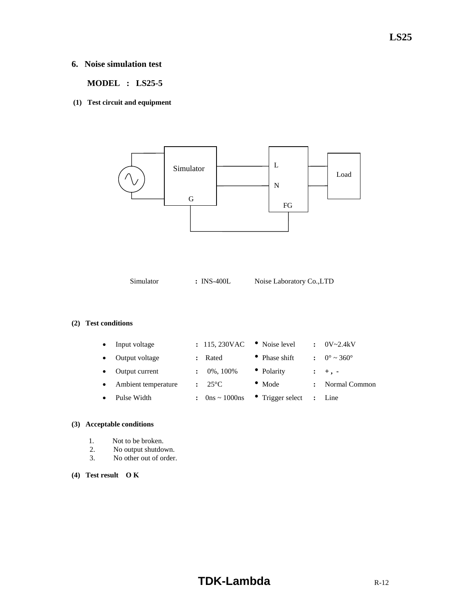# **6. Noise simulation test**

 **MODEL : LS25-5** 

**(1) Test circuit and equipment** 



Simulator **:** INS-400L Noise Laboratory Co.,LTD

### **(2) Test conditions**

| $\bullet$ | Input voltage       | : 115,230VAC                        | • Noise level            | $\mathbf{r}$ | $0V - 2.4kV$           |
|-----------|---------------------|-------------------------------------|--------------------------|--------------|------------------------|
| $\bullet$ | Output voltage      | Rated                               | • Phase shift            |              | $\therefore$ 0° ~ 360° |
| $\bullet$ | Output current      | 0%, 100%                            | • Polarity               |              | $: +, -$               |
| $\bullet$ | Ambient temperature | $: 25^{\circ}C$                     | $\bullet$ Mode           |              | Normal Common          |
| $\bullet$ | Pulse Width         | : $0 \text{ns} \sim 1000 \text{ns}$ | $\bullet$ Trigger select |              | : Line                 |

#### **(3) Acceptable conditions**

- 1. Not to be broken.
- 2. No output shutdown.
- 3. No other out of order.

#### **(4) Test result O K**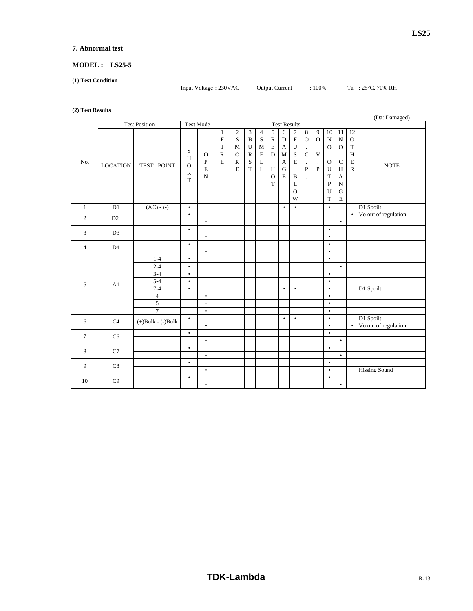#### **7. Abnormal test**

# **MODEL : LS25-5**

**(1) Test Condition** 

Input Voltage : 230VAC Output Current : 100% Ta : 25°C, 70% RH

#### **(2) Test Results**

| (              | (Da: Damaged)   |                         |                                                        |                                                          |                                                                        |                                                                |                                                                      |                                                             |                                                                                                      |                                                                                                                 |                                                                                                                     |                                                                                         |                                                                               |                                                                                                               |                                                                                                                                       |                                                                                               |                      |
|----------------|-----------------|-------------------------|--------------------------------------------------------|----------------------------------------------------------|------------------------------------------------------------------------|----------------------------------------------------------------|----------------------------------------------------------------------|-------------------------------------------------------------|------------------------------------------------------------------------------------------------------|-----------------------------------------------------------------------------------------------------------------|---------------------------------------------------------------------------------------------------------------------|-----------------------------------------------------------------------------------------|-------------------------------------------------------------------------------|---------------------------------------------------------------------------------------------------------------|---------------------------------------------------------------------------------------------------------------------------------------|-----------------------------------------------------------------------------------------------|----------------------|
|                |                 | <b>Test Position</b>    |                                                        | <b>Test Mode</b>                                         |                                                                        |                                                                |                                                                      |                                                             |                                                                                                      |                                                                                                                 | <b>Test Results</b>                                                                                                 |                                                                                         |                                                                               |                                                                                                               |                                                                                                                                       |                                                                                               |                      |
| No.            | <b>LOCATION</b> | TEST POINT              | S<br>$\,$ H<br>$\mathbf O$<br>${\bf R}$<br>$\mathbf T$ | $\mathbf{O}$<br>$\, {\bf P}$<br>$\mathbf E$<br>${\bf N}$ | 1<br>$\overline{\mathrm{F}}$<br>$\bf I$<br>$\mathbb{R}$<br>$\mathbf E$ | $\mathbf{2}$<br>S<br>${\bf M}$<br>$\mathbf{O}$<br>$\bf K$<br>E | 3<br>$\, {\bf B}$<br>U<br>$\mathbb{R}$<br>$\mathbf S$<br>$\mathbf T$ | $\overline{4}$<br>S<br>$\mathbf M$<br>$\mathbf E$<br>L<br>L | $\sqrt{5}$<br>$\overline{\text{R}}$<br>$\mathbf E$<br>$\mathbf D$<br>H<br>$\mathbf O$<br>$\mathbf T$ | 6<br>$\overline{D}$<br>$\boldsymbol{A}$<br>$\mathbf M$<br>$\boldsymbol{\mathsf{A}}$<br>${\bf G}$<br>$\mathbf E$ | $\tau$<br>$\overline{\mathrm{F}}$<br>$\mathbf U$<br>$\rm S$<br>$\mathbf E$<br>$\, {\bf B}$<br>L<br>$\mathbf O$<br>W | $\,8\,$<br>$\mathbf{O}$<br>$\cdot$<br>$\mathbf C$<br>$\cdot$<br>$\mathbf{P}$<br>$\cdot$ | $\boldsymbol{9}$<br>$\overline{0}$<br>$\cdot$<br>V<br>$\cdot$<br>$\mathbf{P}$ | $10\,$<br>$\overline{\text{N}}$<br>$\mathbf{O}$<br>$\mathbf{O}$<br>U<br>$\mathbf T$<br>$\mathbf{P}$<br>U<br>T | 11<br>$\overline{\text{N}}$<br>$\mathbf{O}$<br>$\mathbf C$<br>H<br>$\boldsymbol{\mathsf{A}}$<br>${\bf N}$<br>${\bf G}$<br>$\mathbf E$ | 12<br>$\mathbf{O}$<br>$\mathbf T$<br>$\boldsymbol{\mathrm{H}}$<br>$\mathbf E$<br>$\mathbb{R}$ | <b>NOTE</b>          |
| $\mathbf{1}$   | D1              | $\overline{(AC)}$ - (-) | $\bullet$                                              |                                                          |                                                                        |                                                                |                                                                      |                                                             |                                                                                                      | $\bullet$                                                                                                       | $\bullet$                                                                                                           |                                                                                         |                                                                               | $\bullet$                                                                                                     |                                                                                                                                       |                                                                                               | D1 Spoilt            |
| $\overline{2}$ | D <sub>2</sub>  |                         | $\bullet$                                              |                                                          |                                                                        |                                                                |                                                                      |                                                             |                                                                                                      |                                                                                                                 |                                                                                                                     |                                                                                         |                                                                               |                                                                                                               |                                                                                                                                       | $\bullet$                                                                                     | Vo out of regulation |
|                |                 |                         |                                                        | $\bullet$                                                |                                                                        |                                                                |                                                                      |                                                             |                                                                                                      |                                                                                                                 |                                                                                                                     |                                                                                         |                                                                               |                                                                                                               | $\bullet$                                                                                                                             |                                                                                               |                      |
| 3              | D <sub>3</sub>  |                         | $\bullet$                                              |                                                          |                                                                        |                                                                |                                                                      |                                                             |                                                                                                      |                                                                                                                 |                                                                                                                     |                                                                                         |                                                                               | $\bullet$                                                                                                     |                                                                                                                                       |                                                                                               |                      |
|                |                 |                         | $\bullet$                                              | $\bullet$                                                |                                                                        |                                                                |                                                                      |                                                             |                                                                                                      |                                                                                                                 |                                                                                                                     |                                                                                         |                                                                               | $\bullet$<br>$\bullet$                                                                                        |                                                                                                                                       |                                                                                               |                      |
| $\overline{4}$ | D <sub>4</sub>  |                         |                                                        | $\bullet$                                                |                                                                        |                                                                |                                                                      |                                                             |                                                                                                      |                                                                                                                 |                                                                                                                     |                                                                                         |                                                                               | $\bullet$                                                                                                     |                                                                                                                                       |                                                                                               |                      |
|                |                 | $1 - 4$                 | $\bullet$                                              |                                                          |                                                                        |                                                                |                                                                      |                                                             |                                                                                                      |                                                                                                                 |                                                                                                                     |                                                                                         |                                                                               | $\bullet$                                                                                                     |                                                                                                                                       |                                                                                               |                      |
|                |                 | $2 - 4$                 | $\bullet$                                              |                                                          |                                                                        |                                                                |                                                                      |                                                             |                                                                                                      |                                                                                                                 |                                                                                                                     |                                                                                         |                                                                               |                                                                                                               | $\bullet$                                                                                                                             |                                                                                               |                      |
|                |                 | $3 - 4$                 | $\bullet$                                              |                                                          |                                                                        |                                                                |                                                                      |                                                             |                                                                                                      |                                                                                                                 |                                                                                                                     |                                                                                         |                                                                               | $\bullet$                                                                                                     |                                                                                                                                       |                                                                                               |                      |
| 5              | A1              | $5 - 4$                 | $\bullet$                                              |                                                          |                                                                        |                                                                |                                                                      |                                                             |                                                                                                      |                                                                                                                 |                                                                                                                     |                                                                                         |                                                                               | $\bullet$                                                                                                     |                                                                                                                                       |                                                                                               |                      |
|                |                 | $7 - 4$                 | $\bullet$                                              |                                                          |                                                                        |                                                                |                                                                      |                                                             |                                                                                                      | $\bullet$                                                                                                       | $\bullet$                                                                                                           |                                                                                         |                                                                               | $\bullet$                                                                                                     |                                                                                                                                       |                                                                                               | D1 Spoilt            |
|                |                 | $\overline{4}$          |                                                        | $\bullet$                                                |                                                                        |                                                                |                                                                      |                                                             |                                                                                                      |                                                                                                                 |                                                                                                                     |                                                                                         |                                                                               | $\bullet$                                                                                                     |                                                                                                                                       |                                                                                               |                      |
|                |                 | 5                       |                                                        | $\bullet$                                                |                                                                        |                                                                |                                                                      |                                                             |                                                                                                      |                                                                                                                 |                                                                                                                     |                                                                                         |                                                                               | $\bullet$                                                                                                     |                                                                                                                                       |                                                                                               |                      |
|                |                 | $\overline{7}$          |                                                        | $\bullet$                                                |                                                                        |                                                                |                                                                      |                                                             |                                                                                                      |                                                                                                                 |                                                                                                                     |                                                                                         |                                                                               | $\bullet$                                                                                                     |                                                                                                                                       |                                                                                               |                      |
| 6              | C4              | $(+)$ Bulk - $(-)$ Bulk | $\bullet$                                              |                                                          |                                                                        |                                                                |                                                                      |                                                             |                                                                                                      | $\bullet$                                                                                                       | $\bullet$                                                                                                           |                                                                                         |                                                                               | $\bullet$                                                                                                     |                                                                                                                                       |                                                                                               | D1 Spoilt            |
|                |                 |                         |                                                        | $\bullet$                                                |                                                                        |                                                                |                                                                      |                                                             |                                                                                                      |                                                                                                                 |                                                                                                                     |                                                                                         |                                                                               | $\bullet$                                                                                                     |                                                                                                                                       | $\bullet$                                                                                     | Vo out of regulation |
| $\tau$         | C <sub>6</sub>  |                         | $\bullet$                                              | $\bullet$                                                |                                                                        |                                                                |                                                                      |                                                             |                                                                                                      |                                                                                                                 |                                                                                                                     |                                                                                         |                                                                               | $\bullet$                                                                                                     | $\bullet$                                                                                                                             |                                                                                               |                      |
|                |                 |                         | $\bullet$                                              |                                                          |                                                                        |                                                                |                                                                      |                                                             |                                                                                                      |                                                                                                                 |                                                                                                                     |                                                                                         |                                                                               | $\bullet$                                                                                                     |                                                                                                                                       |                                                                                               |                      |
| 8              | C7              |                         |                                                        | $\bullet$                                                |                                                                        |                                                                |                                                                      |                                                             |                                                                                                      |                                                                                                                 |                                                                                                                     |                                                                                         |                                                                               |                                                                                                               | $\bullet$                                                                                                                             |                                                                                               |                      |
|                |                 |                         | $\bullet$                                              |                                                          |                                                                        |                                                                |                                                                      |                                                             |                                                                                                      |                                                                                                                 |                                                                                                                     |                                                                                         |                                                                               | $\bullet$                                                                                                     |                                                                                                                                       |                                                                                               |                      |
| 9              | C8              |                         |                                                        | $\bullet$                                                |                                                                        |                                                                |                                                                      |                                                             |                                                                                                      |                                                                                                                 |                                                                                                                     |                                                                                         |                                                                               | $\bullet$                                                                                                     |                                                                                                                                       |                                                                                               | <b>Hissing Sound</b> |
|                | C9              |                         | $\bullet$                                              |                                                          |                                                                        |                                                                |                                                                      |                                                             |                                                                                                      |                                                                                                                 |                                                                                                                     |                                                                                         |                                                                               | $\bullet$                                                                                                     |                                                                                                                                       |                                                                                               |                      |
| 10             |                 |                         |                                                        | $\bullet$                                                |                                                                        |                                                                |                                                                      |                                                             |                                                                                                      |                                                                                                                 |                                                                                                                     |                                                                                         |                                                                               |                                                                                                               | $\bullet$                                                                                                                             |                                                                                               |                      |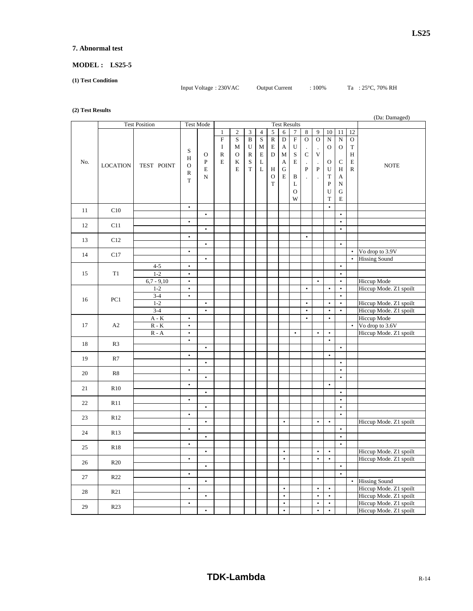#### **7. Abnormal test**

# **MODEL : LS25-5**

**(1) Test Condition** 

Input Voltage : 230VAC Output Current : 100% Ta : 25°C, 70% RH

#### **(2) Test Results**

|     |                 | <b>Test Position</b>        |               | <b>Test Mode</b> |              | <b>Test Results</b> |                |                |              | $(\nu_a, \nu_a, \nu_b)$ |               |             |                          |               |              |              |                        |
|-----|-----------------|-----------------------------|---------------|------------------|--------------|---------------------|----------------|----------------|--------------|-------------------------|---------------|-------------|--------------------------|---------------|--------------|--------------|------------------------|
|     |                 |                             |               |                  | $\mathbf{1}$ | $\sqrt{2}$          | $\mathfrak{Z}$ | $\overline{4}$ | $\sqrt{5}$   | $\,$ 6 $\,$             | 7             | $\,8\,$     | 9                        | $10\,$        | $11\,$       | 12           |                        |
|     |                 |                             |               |                  |              |                     |                |                |              |                         |               |             |                          |               |              |              |                        |
|     |                 |                             |               |                  | $\mathbf F$  | $\mathbf S$         | $\, {\bf B}$   | S              | ${\bf R}$    | $\mathbf D$             | ${\bf F}$     | $\mathbf O$ | $\overline{O}$           | ${\bf N}$     | ${\bf N}$    | $\mathcal O$ |                        |
|     |                 |                             | S             |                  | $\bf{I}$     | M                   | U              | M              | E            | $\boldsymbol{A}$        | U             |             |                          | $\mathbf{O}$  | $\mathbf{O}$ | $\mathbf T$  |                        |
|     |                 |                             |               | $\mathbf O$      | ${\bf R}$    | $\mathcal O$        | ${\bf R}$      | $\mathbf E$    | $\mathbf D$  | $\mathbf M$             | $\mathbf S$   | $\mathbf C$ | $\mathbf V$              |               |              | $\, {\rm H}$ |                        |
| No. |                 |                             | H             | ${\bf P}$        | $\mathbf E$  | $\bf K$             | $\mathbf S$    | L              |              | A                       | $\mathbf E$   | $\cdot$     | $\overline{\phantom{a}}$ | $\mathcal{O}$ | C            | $\mathbf E$  |                        |
|     | <b>LOCATION</b> | TEST POINT                  | $\mathcal{O}$ | $\mathbf E$      |              | E                   | $\mathbf T$    | L              | H            | ${\bf G}$               |               | ${\bf P}$   | ${\bf P}$                | U             | H            | $\mathbb{R}$ | <b>NOTE</b>            |
|     |                 |                             | $\mathbb R$   | ${\bf N}$        |              |                     |                |                | $\mathbf{O}$ | $\mathbf E$             | $\, {\bf B}$  |             |                          | $\mathbf T$   |              |              |                        |
|     |                 |                             | T             |                  |              |                     |                |                |              |                         |               |             |                          |               | A            |              |                        |
|     |                 |                             |               |                  |              |                     |                |                | $\mathbf T$  |                         | L             |             |                          | ${\bf P}$     | ${\bf N}$    |              |                        |
|     |                 |                             |               |                  |              |                     |                |                |              |                         | $\mathcal{O}$ |             |                          | U             | ${\bf G}$    |              |                        |
|     |                 |                             |               |                  |              |                     |                |                |              |                         | W             |             |                          | T             | E            |              |                        |
|     |                 |                             | $\bullet$     |                  |              |                     |                |                |              |                         |               |             |                          | $\bullet$     |              |              |                        |
| 11  | C10             |                             |               | $\bullet$        |              |                     |                |                |              |                         |               |             |                          |               | $\bullet$    |              |                        |
|     |                 |                             | $\bullet$     |                  |              |                     |                |                |              |                         |               |             |                          |               | $\bullet$    |              |                        |
| 12  | C11             |                             |               |                  |              |                     |                |                |              |                         |               |             |                          |               |              |              |                        |
|     |                 |                             |               | $\bullet$        |              |                     |                |                |              |                         |               |             |                          |               | $\bullet$    |              |                        |
| 13  | C12             |                             | $\bullet$     |                  |              |                     |                |                |              |                         |               | $\bullet$   |                          |               |              |              |                        |
|     |                 |                             |               | $\bullet$        |              |                     |                |                |              |                         |               |             |                          |               | $\bullet$    |              |                        |
|     |                 |                             | $\bullet$     |                  |              |                     |                |                |              |                         |               |             |                          |               |              | $\bullet$    | Vo drop to 3.9V        |
| 14  | C17             |                             |               | $\bullet$        |              |                     |                |                |              |                         |               |             |                          |               |              | $\bullet$    | <b>Hissing Sound</b>   |
|     |                 | $4 - 5$                     | $\bullet$     |                  |              |                     |                |                |              |                         |               |             |                          |               | $\bullet$    |              |                        |
|     |                 |                             |               |                  |              |                     |                |                |              |                         |               |             |                          |               | $\bullet$    |              |                        |
| 15  | T1              | $1 - 2$                     | $\bullet$     |                  |              |                     |                |                |              |                         |               |             |                          |               |              |              |                        |
|     |                 | $6,7 - 9,10$                | $\bullet$     |                  |              |                     |                |                |              |                         |               |             | $\bullet$                |               | $\bullet$    |              | Hiccup Mode            |
|     |                 | $1 - 2$                     | $\bullet$     |                  |              |                     |                |                |              |                         |               | $\bullet$   |                          | $\bullet$     | $\bullet$    |              | Hiccup Mode. Z1 spoilt |
|     |                 | $3 - 4$                     | $\bullet$     |                  |              |                     |                |                |              |                         |               |             |                          |               | $\bullet$    |              |                        |
| 16  | PC1             | $1 - 2$                     |               | $\bullet$        |              |                     |                |                |              |                         |               | $\bullet$   |                          | $\bullet$     | $\bullet$    |              | Hiccup Mode. Z1 spoilt |
|     |                 | $3 - 4$                     |               | $\bullet$        |              |                     |                |                |              |                         |               | $\bullet$   |                          | $\bullet$     | $\bullet$    |              | Hiccup Mode. Z1 spoilt |
|     |                 |                             | $\bullet$     |                  |              |                     |                |                |              |                         |               | $\bullet$   |                          | $\bullet$     |              |              | Hiccup Mode            |
|     |                 | $\mathbf{A}$ - $\mathbf{K}$ |               |                  |              |                     |                |                |              |                         |               |             |                          |               |              |              |                        |
| 17  | A2              | $R - K$                     | $\bullet$     |                  |              |                     |                |                |              |                         |               |             |                          |               |              | $\bullet$    | Vo drop to 3.6V        |
|     |                 | $R - A$                     | $\bullet$     |                  |              |                     |                |                |              |                         | $\bullet$     |             | $\bullet$                | $\bullet$     |              |              | Hiccup Mode. Z1 spoilt |
| 18  | R <sub>3</sub>  |                             | $\bullet$     |                  |              |                     |                |                |              |                         |               |             |                          | $\bullet$     |              |              |                        |
|     |                 |                             |               | $\bullet$        |              |                     |                |                |              |                         |               |             |                          |               | $\bullet$    |              |                        |
|     |                 |                             | $\bullet$     |                  |              |                     |                |                |              |                         |               |             |                          | $\bullet$     |              |              |                        |
| 19  | R7              |                             |               | $\bullet$        |              |                     |                |                |              |                         |               |             |                          |               | $\bullet$    |              |                        |
|     |                 |                             | $\bullet$     |                  |              |                     |                |                |              |                         |               |             |                          |               | $\bullet$    |              |                        |
| 20  | R8              |                             |               |                  |              |                     |                |                |              |                         |               |             |                          |               | $\bullet$    |              |                        |
|     |                 |                             |               | $\bullet$        |              |                     |                |                |              |                         |               |             |                          |               |              |              |                        |
| 21  | R10             |                             | $\bullet$     |                  |              |                     |                |                |              |                         |               |             |                          | $\bullet$     |              |              |                        |
|     |                 |                             |               | $\bullet$        |              |                     |                |                |              |                         |               |             |                          |               | $\bullet$    |              |                        |
| 22  | R11             |                             | $\bullet$     |                  |              |                     |                |                |              |                         |               |             |                          |               | $\bullet$    |              |                        |
|     |                 |                             |               | $\bullet$        |              |                     |                |                |              |                         |               |             |                          |               | $\bullet$    |              |                        |
|     |                 |                             | $\bullet$     |                  |              |                     |                |                |              |                         |               |             |                          |               | $\bullet$    |              |                        |
| 23  | R12             |                             |               | $\bullet$        |              |                     |                |                |              | $\bullet$               |               |             | $\bullet$                | $\bullet$     |              |              | Hiccup Mode. Z1 spoilt |
|     |                 |                             | $\bullet$     |                  |              |                     |                |                |              |                         |               |             |                          |               | $\bullet$    |              |                        |
| 24  | R <sub>13</sub> |                             |               |                  |              |                     |                |                |              |                         |               |             |                          |               |              |              |                        |
|     |                 |                             |               | $\bullet$        |              |                     |                |                |              |                         |               |             |                          |               | $\bullet$    |              |                        |
| 25  | R <sub>18</sub> |                             | $\bullet$     |                  |              |                     |                |                |              |                         |               |             |                          |               | $\bullet$    |              |                        |
|     |                 |                             |               | $\bullet$        |              |                     |                |                |              | $\bullet$               |               |             | $\bullet$                | $\bullet$     |              |              | Hiccup Mode. Z1 spoilt |
|     |                 |                             | $\bullet$     |                  |              |                     |                |                |              | $\bullet$               |               |             | $\bullet$                | $\bullet$     |              |              | Hiccup Mode. Z1 spoilt |
| 26  | R <sub>20</sub> |                             |               | $\bullet$        |              |                     |                |                |              |                         |               |             |                          |               | $\bullet$    |              |                        |
|     |                 |                             | $\bullet$     |                  |              |                     |                |                |              |                         |               |             |                          |               | $\bullet$    |              |                        |
| 27  | R <sub>22</sub> |                             |               | $\bullet$        |              |                     |                |                |              |                         |               |             |                          |               |              | $\bullet$    | <b>Hissing Sound</b>   |
|     |                 |                             |               |                  |              |                     |                |                |              |                         |               |             |                          |               |              |              |                        |
| 28  | R21             |                             | $\bullet$     |                  |              |                     |                |                |              | $\bullet$               |               |             | $\bullet$                | $\bullet$     |              |              | Hiccup Mode. Z1 spoilt |
|     |                 |                             |               | $\bullet$        |              |                     |                |                |              | $\bullet$               |               |             | $\bullet$                | $\bullet$     |              |              | Hiccup Mode. Z1 spoilt |
| 29  | R23             |                             | $\bullet$     |                  |              |                     |                |                |              | $\bullet$               |               |             | $\bullet$                | $\bullet$     |              |              | Hiccup Mode. Z1 spoilt |
|     |                 |                             |               | $\bullet$        |              |                     |                |                |              | $\bullet$               |               |             | $\bullet$                | $\bullet$     |              |              | Hiccup Mode. Z1 spoilt |
|     |                 |                             |               |                  |              |                     |                |                |              |                         |               |             |                          |               |              |              |                        |